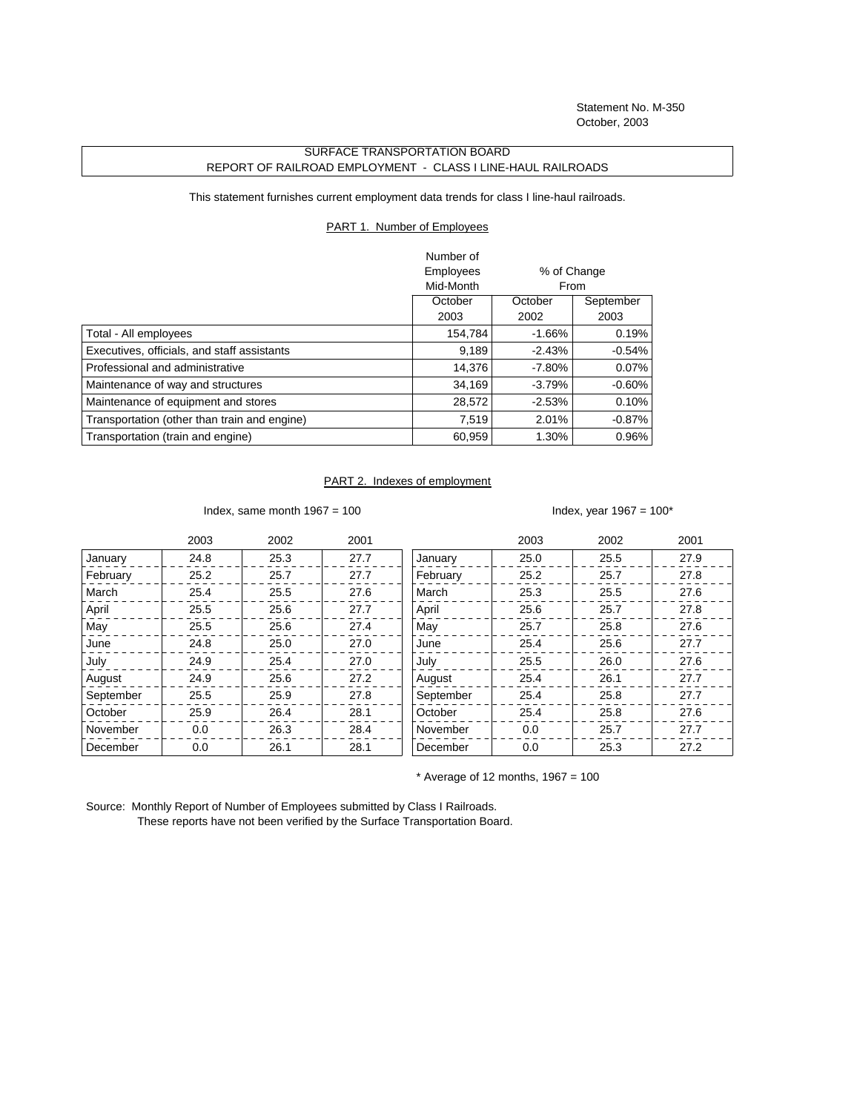Statement No. M-350 October, 2003

## SURFACE TRANSPORTATION BOARD REPORT OF RAILROAD EMPLOYMENT - CLASS I LINE-HAUL RAILROADS

This statement furnishes current employment data trends for class I line-haul railroads.

## PART 1. Number of Employees

|                                              | Number of |             |           |
|----------------------------------------------|-----------|-------------|-----------|
|                                              | Employees | % of Change |           |
|                                              | Mid-Month | From        |           |
|                                              | October   | October     | September |
|                                              | 2003      | 2002        | 2003      |
| Total - All employees                        | 154,784   | $-1.66\%$   | 0.19%     |
| Executives, officials, and staff assistants  | 9,189     | $-2.43%$    | $-0.54%$  |
| Professional and administrative              | 14.376    | $-7.80%$    | $0.07\%$  |
| Maintenance of way and structures            | 34.169    | $-3.79%$    | $-0.60\%$ |
| Maintenance of equipment and stores          | 28,572    | $-2.53%$    | 0.10%     |
| Transportation (other than train and engine) | 7,519     | 2.01%       | $-0.87\%$ |
| Transportation (train and engine)            | 60,959    | 1.30%       | 0.96%     |

## PART 2. Indexes of employment

Index, same month  $1967 = 100$  Index, year  $1967 = 100^*$ 

|           | 2003 | 2002 | 2001 |           | 2003 | 2002 | 2001 |
|-----------|------|------|------|-----------|------|------|------|
| January   | 24.8 | 25.3 | 27.7 | January   | 25.0 | 25.5 | 27.9 |
| February  | 25.2 | 25.7 | 27.7 | February  | 25.2 | 25.7 | 27.8 |
| March     | 25.4 | 25.5 | 27.6 | March     | 25.3 | 25.5 | 27.6 |
| April     | 25.5 | 25.6 | 27.7 | April     | 25.6 | 25.7 | 27.8 |
| May       | 25.5 | 25.6 | 27.4 | May       | 25.7 | 25.8 | 27.6 |
| June      | 24.8 | 25.0 | 27.0 | June      | 25.4 | 25.6 | 27.7 |
| July      | 24.9 | 25.4 | 27.0 | July      | 25.5 | 26.0 | 27.6 |
| August    | 24.9 | 25.6 | 27.2 | August    | 25.4 | 26.1 | 27.7 |
| September | 25.5 | 25.9 | 27.8 | September | 25.4 | 25.8 | 27.7 |
| October   | 25.9 | 26.4 | 28.1 | October   | 25.4 | 25.8 | 27.6 |
| November  | 0.0  | 26.3 | 28.4 | November  | 0.0  | 25.7 | 27.7 |
| December  | 0.0  | 26.1 | 28.1 | December  | 0.0  | 25.3 | 27.2 |

 $*$  Average of 12 months, 1967 = 100

Source: Monthly Report of Number of Employees submitted by Class I Railroads. These reports have not been verified by the Surface Transportation Board.